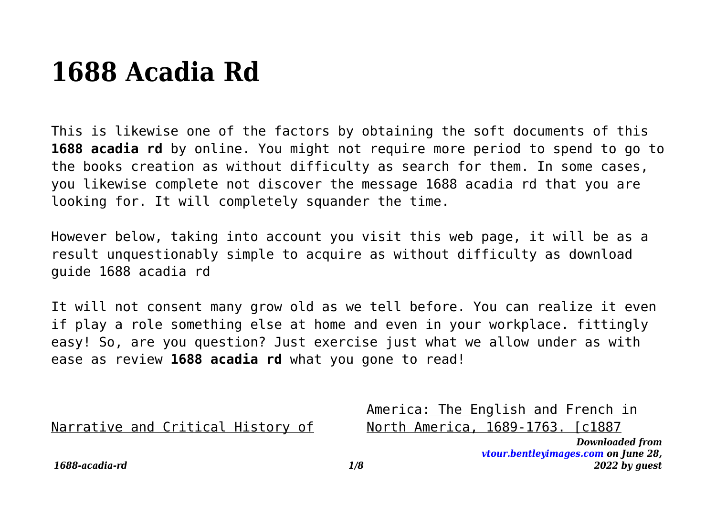## **1688 Acadia Rd**

This is likewise one of the factors by obtaining the soft documents of this **1688 acadia rd** by online. You might not require more period to spend to go to the books creation as without difficulty as search for them. In some cases, you likewise complete not discover the message 1688 acadia rd that you are looking for. It will completely squander the time.

However below, taking into account you visit this web page, it will be as a result unquestionably simple to acquire as without difficulty as download guide 1688 acadia rd

It will not consent many grow old as we tell before. You can realize it even if play a role something else at home and even in your workplace. fittingly easy! So, are you question? Just exercise just what we allow under as with ease as review **1688 acadia rd** what you gone to read!

Narrative and Critical History of

America: The English and French in North America, 1689-1763. [c1887

*1688-acadia-rd 1/8*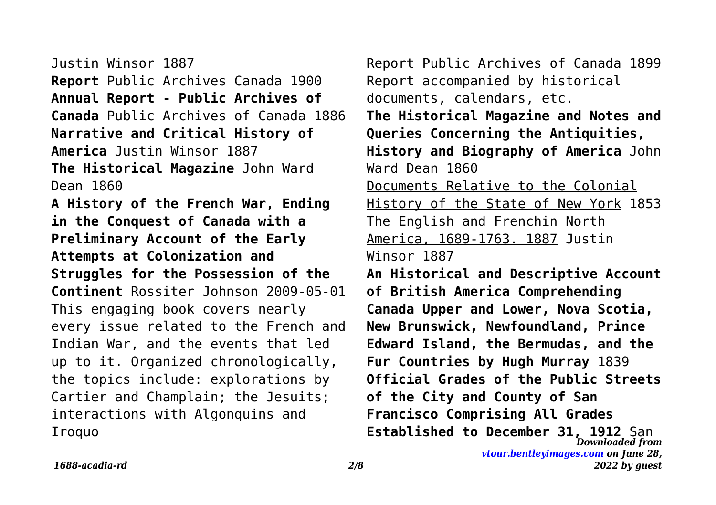Justin Winsor 1887 **Report** Public Archives Canada 1900 **Annual Report - Public Archives of Canada** Public Archives of Canada 1886 **Narrative and Critical History of America** Justin Winsor 1887 **The Historical Magazine** John Ward Dean 1860 **A History of the French War, Ending in the Conquest of Canada with a Preliminary Account of the Early Attempts at Colonization and Struggles for the Possession of the Continent** Rossiter Johnson 2009-05-01 This engaging book covers nearly every issue related to the French and Indian War, and the events that led up to it. Organized chronologically, the topics include: explorations by Cartier and Champlain; the Jesuits; interactions with Algonquins and Iroquo

*Downloaded from* Report Public Archives of Canada 1899 Report accompanied by historical documents, calendars, etc. **The Historical Magazine and Notes and Queries Concerning the Antiquities, History and Biography of America** John Ward Dean 1860 Documents Relative to the Colonial History of the State of New York 1853 The English and Frenchin North America, 1689-1763. 1887 Justin Winsor 1887 **An Historical and Descriptive Account of British America Comprehending Canada Upper and Lower, Nova Scotia, New Brunswick, Newfoundland, Prince Edward Island, the Bermudas, and the Fur Countries by Hugh Murray** 1839 **Official Grades of the Public Streets of the City and County of San Francisco Comprising All Grades Established to December 31, 1912** San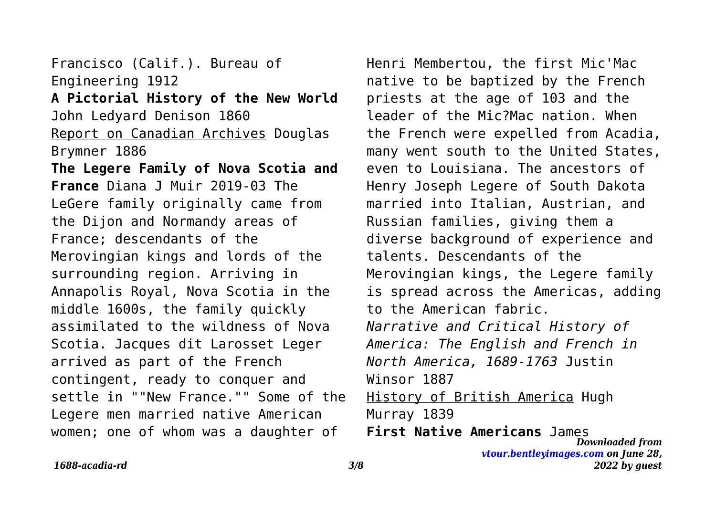Francisco (Calif.). Bureau of Engineering 1912 **A Pictorial History of the New World** John Ledyard Denison 1860 Report on Canadian Archives Douglas Brymner 1886 **The Legere Family of Nova Scotia and France** Diana J Muir 2019-03 The LeGere family originally came from the Dijon and Normandy areas of France; descendants of the Merovingian kings and lords of the surrounding region. Arriving in Annapolis Royal, Nova Scotia in the middle 1600s, the family quickly assimilated to the wildness of Nova Scotia. Jacques dit Larosset Leger arrived as part of the French contingent, ready to conquer and settle in ""New France."" Some of the Legere men married native American women; one of whom was a daughter of

Henri Membertou, the first Mic'Mac native to be baptized by the French priests at the age of 103 and the leader of the Mic?Mac nation. When the French were expelled from Acadia, many went south to the United States, even to Louisiana. The ancestors of Henry Joseph Legere of South Dakota married into Italian, Austrian, and Russian families, giving them a diverse background of experience and talents. Descendants of the Merovingian kings, the Legere family is spread across the Americas, adding to the American fabric. *Narrative and Critical History of America: The English and French in North America, 1689-1763* Justin Winsor 1887 History of British America Hugh Murray 1839

*Downloaded from [vtour.bentleyimages.com](https://vtour.bentleyimages.com) on June 28, 2022 by guest* **First Native Americans** James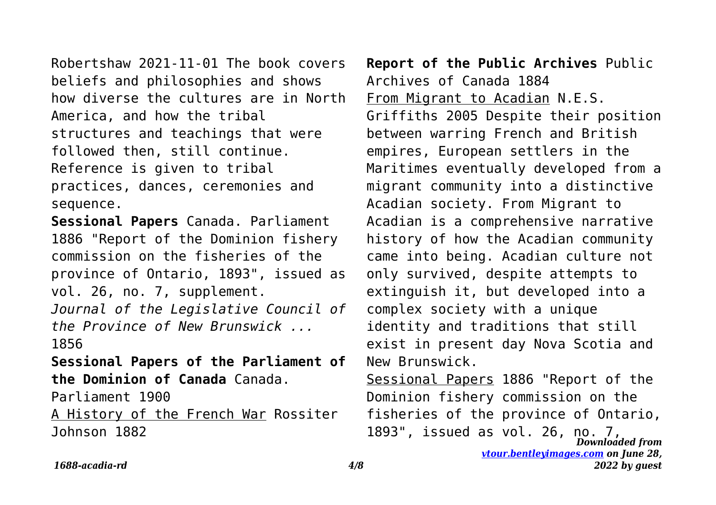Robertshaw 2021-11-01 The book covers beliefs and philosophies and shows how diverse the cultures are in North America, and how the tribal structures and teachings that were followed then, still continue. Reference is given to tribal practices, dances, ceremonies and sequence.

**Sessional Papers** Canada. Parliament 1886 "Report of the Dominion fishery commission on the fisheries of the province of Ontario, 1893", issued as vol. 26, no. 7, supplement. *Journal of the Legislative Council of*

*the Province of New Brunswick ...* 1856

**Sessional Papers of the Parliament of the Dominion of Canada** Canada.

Parliament 1900

A History of the French War Rossiter Johnson 1882

**Report of the Public Archives** Public Archives of Canada 1884 From Migrant to Acadian N.E.S. Griffiths 2005 Despite their position between warring French and British empires, European settlers in the Maritimes eventually developed from a migrant community into a distinctive Acadian society. From Migrant to Acadian is a comprehensive narrative history of how the Acadian community came into being. Acadian culture not only survived, despite attempts to extinguish it, but developed into a complex society with a unique identity and traditions that still exist in present day Nova Scotia and New Brunswick. Sessional Papers 1886 "Report of the

*Downloaded from [vtour.bentleyimages.com](https://vtour.bentleyimages.com) on June 28,* Dominion fishery commission on the fisheries of the province of Ontario, 1893", issued as vol. 26, no. 7,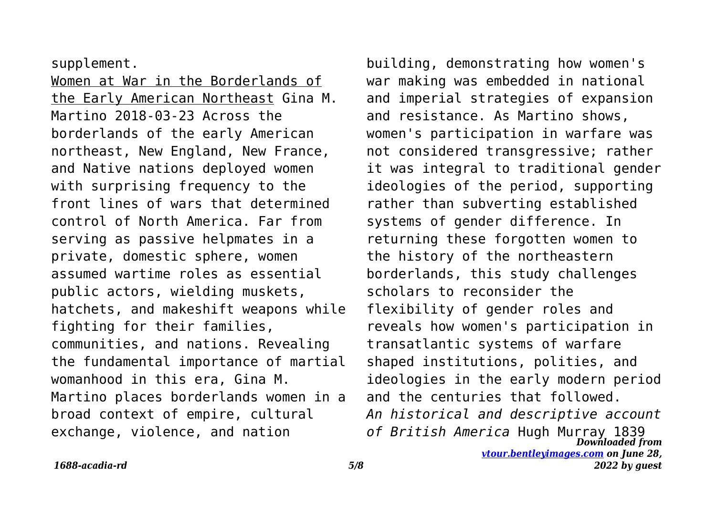supplement.

Women at War in the Borderlands of the Early American Northeast Gina M. Martino 2018-03-23 Across the borderlands of the early American northeast, New England, New France, and Native nations deployed women with surprising frequency to the front lines of wars that determined control of North America. Far from serving as passive helpmates in a private, domestic sphere, women assumed wartime roles as essential public actors, wielding muskets, hatchets, and makeshift weapons while fighting for their families, communities, and nations. Revealing the fundamental importance of martial womanhood in this era, Gina M. Martino places borderlands women in a broad context of empire, cultural exchange, violence, and nation

*Downloaded from* building, demonstrating how women's war making was embedded in national and imperial strategies of expansion and resistance. As Martino shows, women's participation in warfare was not considered transgressive; rather it was integral to traditional gender ideologies of the period, supporting rather than subverting established systems of gender difference. In returning these forgotten women to the history of the northeastern borderlands, this study challenges scholars to reconsider the flexibility of gender roles and reveals how women's participation in transatlantic systems of warfare shaped institutions, polities, and ideologies in the early modern period and the centuries that followed. *An historical and descriptive account of British America* Hugh Murray 1839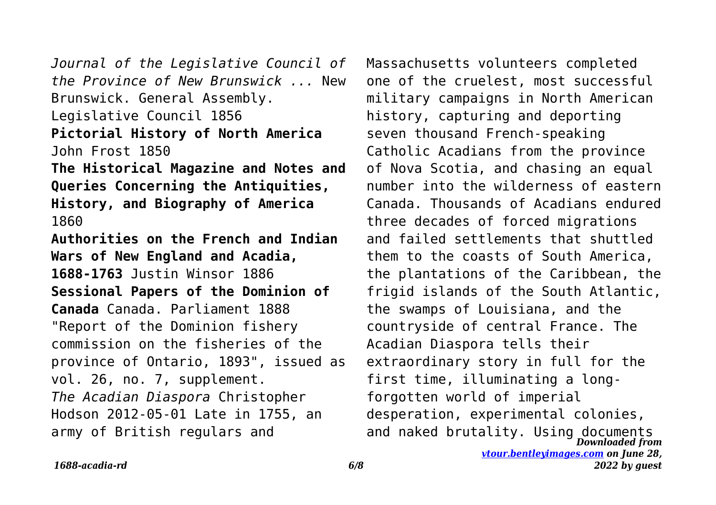*Journal of the Legislative Council of the Province of New Brunswick ...* New Brunswick. General Assembly. Legislative Council 1856 **Pictorial History of North America** John Frost 1850 **The Historical Magazine and Notes and Queries Concerning the Antiquities, History, and Biography of America** 1860 **Authorities on the French and Indian Wars of New England and Acadia, 1688-1763** Justin Winsor 1886 **Sessional Papers of the Dominion of Canada** Canada. Parliament 1888 "Report of the Dominion fishery commission on the fisheries of the province of Ontario, 1893", issued as vol. 26, no. 7, supplement. *The Acadian Diaspora* Christopher Hodson 2012-05-01 Late in 1755, an army of British regulars and

*Downloaded from* and naked brutality. Using documents*[vtour.bentleyimages.com](https://vtour.bentleyimages.com) on June 28, 2022 by guest* Massachusetts volunteers completed one of the cruelest, most successful military campaigns in North American history, capturing and deporting seven thousand French-speaking Catholic Acadians from the province of Nova Scotia, and chasing an equal number into the wilderness of eastern Canada. Thousands of Acadians endured three decades of forced migrations and failed settlements that shuttled them to the coasts of South America, the plantations of the Caribbean, the frigid islands of the South Atlantic, the swamps of Louisiana, and the countryside of central France. The Acadian Diaspora tells their extraordinary story in full for the first time, illuminating a longforgotten world of imperial desperation, experimental colonies,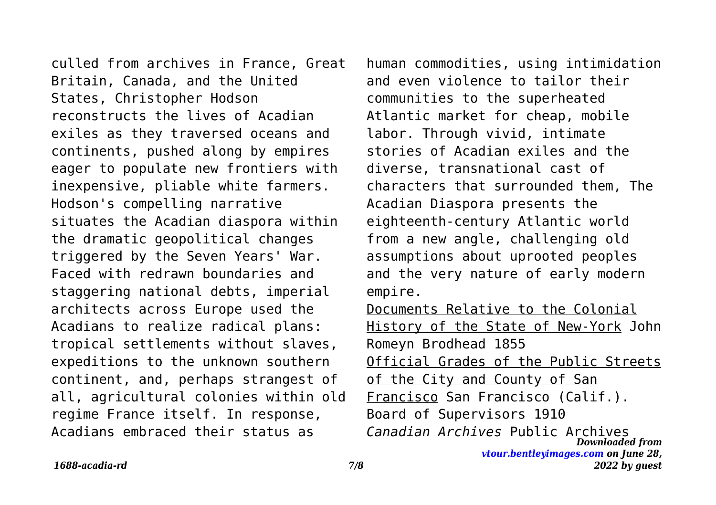culled from archives in France, Great Britain, Canada, and the United States, Christopher Hodson reconstructs the lives of Acadian exiles as they traversed oceans and continents, pushed along by empires eager to populate new frontiers with inexpensive, pliable white farmers. Hodson's compelling narrative situates the Acadian diaspora within the dramatic geopolitical changes triggered by the Seven Years' War. Faced with redrawn boundaries and staggering national debts, imperial architects across Europe used the Acadians to realize radical plans: tropical settlements without slaves, expeditions to the unknown southern continent, and, perhaps strangest of all, agricultural colonies within old regime France itself. In response, Acadians embraced their status as

human commodities, using intimidation and even violence to tailor their communities to the superheated Atlantic market for cheap, mobile labor. Through vivid, intimate stories of Acadian exiles and the diverse, transnational cast of characters that surrounded them, The Acadian Diaspora presents the eighteenth-century Atlantic world from a new angle, challenging old assumptions about uprooted peoples and the very nature of early modern empire. Documents Relative to the Colonial

*Downloaded from [vtour.bentleyimages.com](https://vtour.bentleyimages.com) on June 28,* History of the State of New-York John Romeyn Brodhead 1855 Official Grades of the Public Streets of the City and County of San Francisco San Francisco (Calif.). Board of Supervisors 1910 *Canadian Archives* Public Archives